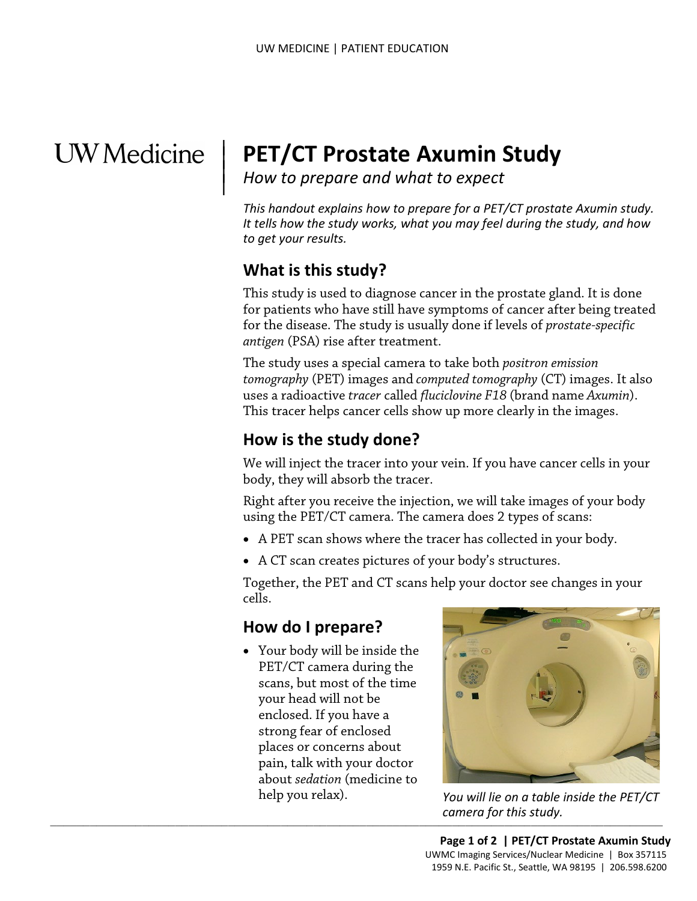## **UW** Medicine

 $\overline{\phantom{a}}$ 

# <sup>|</sup>**PET/CT Prostate Axumin Study** | *How to prepare and what to expect* <sup>|</sup>

 *to get your results. This handout explains how to prepare for a PET/CT prostate Axumin study. It tells how the study works, what you may feel during the study, and how* 

#### **What is this study?**

 for the disease. The study is usually done if levels of *prostate-specific antigen* (PSA) rise after treatment. This study is used to diagnose cancer in the prostate gland. It is done for patients who have still have symptoms of cancer after being treated

for the disease. The study is usually done if levels of *prostate-spe*<br>for the disease. The study is usually done if levels of *prostate-spe*<br>*antigen* (PSA) rise after treatment.<br>The study uses a special camera to take bo The study uses a special camera to take both *positron emission tomography* (PET) images and *computed tomography* (CT) images. It also uses a radioactive *tracer* called *fluciclovine F18* (brand name *Axumin*). This tracer helps cancer cells show up more clearly in the images.

#### **How is the study done?**

 We will inject the tracer into your vein. If you have cancer cells in your body, they will absorb the tracer.

Right after you receive the injection, we will take images of your body using the PET/CT camera. The camera does 2 types of scans:

- A PET scan shows where the tracer has collected in your body.
- A CT scan creates pictures of your body's structures.

Together, the PET and CT scans help your doctor see changes in your cells.

#### **How do I prepare?**

• Your body will be inside the PET/CT camera during the scans, but most of the time your head will not be enclosed. If you have a strong fear of enclosed places or concerns about pain, talk with your doctor about *sedation* (medicine to



 $\frac{1}{2}$  ,  $\frac{1}{2}$  ,  $\frac{1}{2}$  ,  $\frac{1}{2}$  ,  $\frac{1}{2}$  ,  $\frac{1}{2}$  ,  $\frac{1}{2}$  ,  $\frac{1}{2}$  ,  $\frac{1}{2}$  ,  $\frac{1}{2}$  ,  $\frac{1}{2}$  ,  $\frac{1}{2}$  ,  $\frac{1}{2}$  ,  $\frac{1}{2}$  ,  $\frac{1}{2}$  ,  $\frac{1}{2}$  ,  $\frac{1}{2}$  ,  $\frac{1}{2}$  ,  $\frac{1$ help you relax). *You will lie on a table inside the PET/CT camera for this study.*